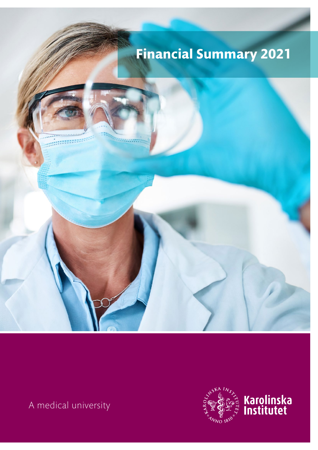

A medical university

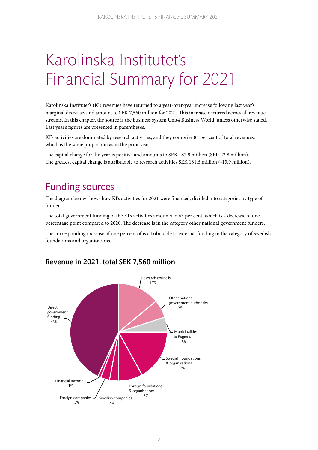# Karolinska Institutet's Financial Summary for 2021

Karolinska Institutet's (Kl) revenues have returned to a year-over-year increase following last year's marginal decrease, and amount to SEK 7,560 million for 2021. This increase occurred across all revenue streams. In this chapter, the source is the business system Unit4 Business World, unless otherwise stated. Last year's figures are presented in parentheses.

KI's activities are dominated by research activities, and they comprise 84 per cent of total revenues, which is the same proportion as in the prior year.

The capital change for the year is positive and amounts to SEK 187.9 million (SEK 22.8 million). The greatest capital change is attributable to research activities SEK 181.6 million (-13.9 million).

# Funding sources

The diagram below shows how KI's activities for 2021 were financed, divided into categories by type of funder.

The total government funding of the KI's activities amounts to 63 per cent, which is a decrease of one percentage point compared to 2020. The decrease is in the category other national government funders.

The corresponding increase of one percent of is attributable to external funding in the category of Swedish foundations and organisations.



### Revenue in 2021, total SEK 7,560 million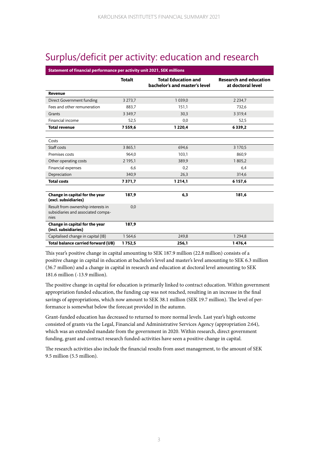# Surplus/deficit per activity: education and research

| Statement of financial performance per activity unit 2021, SEK millions          |               |                                                             |                                                    |  |
|----------------------------------------------------------------------------------|---------------|-------------------------------------------------------------|----------------------------------------------------|--|
|                                                                                  | <b>Totalt</b> | <b>Total Education and</b><br>bachelor's and master's level | <b>Research and education</b><br>at doctoral level |  |
| Revenue                                                                          |               |                                                             |                                                    |  |
| Direct Government funding                                                        | 3 2 7 3 , 7   | 1 0 3 9 , 0                                                 | 2 2 3 4 7                                          |  |
| Fees and other remuneration                                                      | 883,7         | 151,1                                                       | 732,6                                              |  |
| Grants                                                                           | 3 3 4 9 7     | 30,3                                                        | 3 3 1 9 4                                          |  |
| Financial income                                                                 | 52,5          | 0,0                                                         | 52,5                                               |  |
| <b>Total revenue</b>                                                             | 7559,6        | 1 2 2 0 , 4                                                 | 6339,2                                             |  |
|                                                                                  |               |                                                             |                                                    |  |
| Costs                                                                            |               |                                                             |                                                    |  |
| Staff costs                                                                      | 3 8 6 5 , 1   | 694,6                                                       | 3 1 7 0 , 5                                        |  |
| Premises costs                                                                   | 964,0         | 103,1                                                       | 860,9                                              |  |
| Other operating costs                                                            | 2 1 9 5 , 1   | 389,9                                                       | 1 805,2                                            |  |
| Financial expenses                                                               | 6,6           | 0,2                                                         | 6,4                                                |  |
| Depreciation                                                                     | 340,9         | 26,3                                                        | 314,6                                              |  |
| <b>Total costs</b>                                                               | 7371,7        | 1 2 1 4 , 1                                                 | 6 1 5 7 , 6                                        |  |
|                                                                                  |               |                                                             |                                                    |  |
| Change in capital for the year<br>(excl. subsidiaries)                           | 187,9         | 6,3                                                         | 181,6                                              |  |
| Result from ownership interests in<br>subsidiaries and associated compa-<br>nies | 0,0           |                                                             |                                                    |  |
| Change in capital for the year<br>(incl. subsidiaries)                           | 187,9         |                                                             |                                                    |  |
| Capitalised change in capital (IB)                                               | 1564,6        | 249,8                                                       | 1 2 9 4, 8                                         |  |
| Total balance carried forward (UB)                                               | 1752,5        | 256,1                                                       | 1476.4                                             |  |

This year's positive change in capital amounting to SEK 187.9 million (22.8 million) consists of a positive change in capital in education at bachelor's level and master's level amounting to SEK 6.3 million (36.7 million) and a change in capital in research and education at doctoral level amounting to SEK 181.6 million (-13.9 million).

The positive change in capital for education is primarily linked to contract education. Within government appropriation funded education, the funding cap was not reached, resulting in an increase in the final savings of appropriations, which now amount to SEK 38.1 million (SEK 19.7 million). The level of performance is somewhat below the forecast provided in the autumn.

Grant-funded education has decreased to returned to more normal levels. Last year's high outcome consisted of grants via the Legal, Financial and Administrative Services Agency (appropriation 2:64), which was an extended mandate from the government in 2020. Within research, direct government funding, grant and contract research funded-activities have seen a positive change in capital.

The research activities also include the financial results from asset management, to the amount of SEK 9.5 million (5.5 million).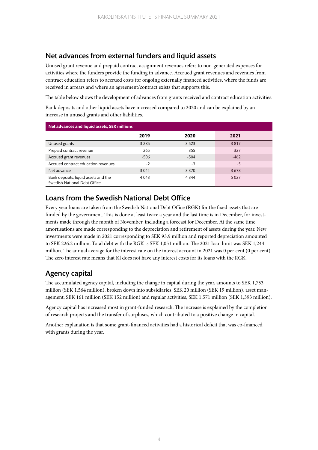### Net advances from external funders and liquid assets

Unused grant revenue and prepaid contract assignment revenues refers to non-generated expenses for activities where the funders provide the funding in advance. Accrued grant revenues and revenues from contract education refers to accrued costs for ongoing externally financed activities, where the funds are received in arrears and where an agreement/contract exists that supports this.

The table below shows the development of advances from grants received and contract education activities.

Bank deposits and other liquid assets have increased compared to 2020 and can be explained by an increase in unused grants and other liabilities.

| Net advances and liquid assets, SEK millions                         |         |         |         |  |
|----------------------------------------------------------------------|---------|---------|---------|--|
|                                                                      | 2019    | 2020    | 2021    |  |
| Unused grants                                                        | 3 2 8 5 | 3 5 2 3 | 3817    |  |
| Prepaid contract revenue                                             | 265     | 355     | 327     |  |
| Accrued grant revenues                                               | $-506$  | $-504$  | $-462$  |  |
| Accrued contract education revenues                                  | $-2$    | $-3$    | $-5$    |  |
| Net advance                                                          | 3 0 4 1 | 3 3 7 0 | 3678    |  |
| Bank deposits, liquid assets and the<br>Swedish National Debt Office | 4 0 4 3 | 4 3 4 4 | 5 0 2 7 |  |

### Loans from the Swedish National Debt Office

Every year loans are taken from the Swedish National Debt Office (RGK) for the fixed assets that are funded by the government. This is done at least twice a year and the last time is in December, for investments made through the month of November, including a forecast for December. At the same time, amortisations are made corresponding to the depreciation and retirement of assets during the year. New investments were made in 2021 corresponding to SEK 93.9 million and reported depreciation amounted to SEK 226.2 million. Total debt with the RGK is SEK 1,051 million. The 2021 loan limit was SEK 1,244 million. The annual average for the interest rate on the interest account in 2021 was 0 per cent (0 per cent). The zero interest rate means that Kl does not have any interest costs for its loans with the RGK.

### Agency capital

The accumulated agency capital, including the change in capital during the year, amounts to SEK 1,753 million (SEK 1,564 million), broken down into subsidiaries, SEK 20 million (SEK 19 million), asset management, SEK 161 million (SEK 152 million) and regular activities, SEK 1,571 million (SEK 1,393 million).

Agency capital has increased most in grant-funded research. The increase is explained by the completion of research projects and the transfer of surpluses, which contributed to a positive change in capital.

Another explanation is that some grant-financed activities had a historical deficit that was co-financed with grants during the year.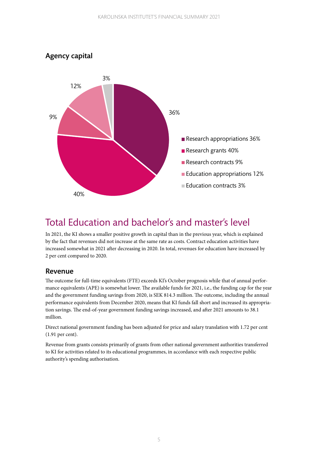

# Total Education and bachelor's and master's level

In 2021, the KI shows a smaller positive growth in capital than in the previous year, which is explained by the fact that revenues did not increase at the same rate as costs. Contract education activities have increased somewhat in 2021 after decreasing in 2020. In total, revenues for education have increased by 2 per cent compared to 2020.

#### Revenue

The outcome for full-time equivalents (FTE) exceeds KI's October prognosis while that of annual performance equivalents (APE) is somewhat lower. The available funds for 2021, i.e., the funding cap for the year and the government funding savings from 2020, is SEK 814.3 million. The outcome, including the annual performance equivalents from December 2020, means that KI funds fall short and increased its appropriation savings. The end-of-year government funding savings increased, and after 2021 amounts to 38.1 million.

Direct national government funding has been adjusted for price and salary translation with 1.72 per cent (1.91 per cent).

Revenue from grants consists primarily of grants from other national government authorities transferred to KI for activities related to its educational programmes, in accordance with each respective public authority's spending authorisation.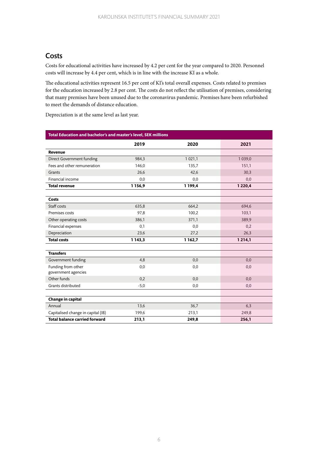#### Costs

Costs for educational activities have increased by 4.2 per cent for the year compared to 2020. Personnel costs will increase by 4.4 per cent, which is in line with the increase KI as a whole.

The educational activities represent 16.5 per cent of KI's total overall expenses. Costs related to premises for the education increased by 2.8 per cent. The costs do not reflect the utilisation of premises, considering that many premises have been unused due to the coronavirus pandemic. Premises have been refurbished to meet the demands of distance education.

Depreciation is at the same level as last year.

| Total Education and bachelor's and master's level, SEK millions |             |             |             |
|-----------------------------------------------------------------|-------------|-------------|-------------|
|                                                                 | 2019        | 2020        | 2021        |
| Revenue                                                         |             |             |             |
| Direct Government funding                                       | 984,3       | 1 0 2 1 , 1 | 1 0 3 9 , 0 |
| Fees and other remuneration                                     | 146.0       | 135,7       | 151,1       |
| Grants                                                          | 26,6        | 42,6        | 30,3        |
| Financial income                                                | 0,0         | 0,0         | 0,0         |
| <b>Total revenue</b>                                            | 1 1 5 6, 9  | 1 199,4     | 1 2 2 0 , 4 |
|                                                                 |             |             |             |
| Costs                                                           |             |             |             |
| Staff costs                                                     | 635,8       | 664,2       | 694,6       |
| Premises costs                                                  | 97,8        | 100,2       | 103,1       |
| Other operating costs                                           | 386,1       | 371,1       | 389,9       |
| Financial expenses                                              | 0,1         | 0,0         | 0,2         |
| Depreciation                                                    | 23,6        | 27,2        | 26,3        |
| <b>Total costs</b>                                              | 1 1 4 3 , 3 | 1 1 6 2, 7  | 1214,1      |
|                                                                 |             |             |             |
| <b>Transfers</b>                                                |             |             |             |
| Government funding                                              | 4,8         | 0,0         | 0,0         |
| Funding from other                                              | 0,0         | 0,0         | 0,0         |
| government agencies                                             |             |             |             |
| Other funds                                                     | 0,2         | 0,0         | 0,0         |
| Grants distributed                                              | $-5,0$      | 0,0         | 0,0         |
|                                                                 |             |             |             |
| Change in capital                                               |             |             |             |
| Annual                                                          | 13,6        | 36,7        | 6,3         |
| Capitalised change in capital (IB)                              | 199,6       | 213,1       | 249,8       |
| <b>Total balance carried forward</b>                            | 213,1       | 249,8       | 256,1       |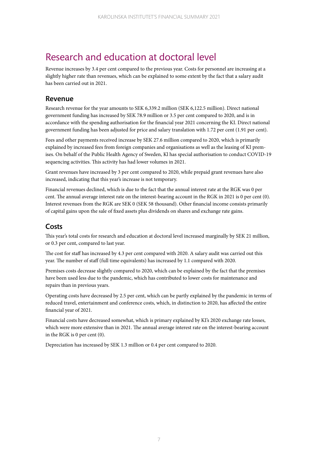# Research and education at doctoral level

Revenue increases by 3.4 per cent compared to the previous year. Costs for personnel are increasing at a slightly higher rate than revenues, which can be explained to some extent by the fact that a salary audit has been carried out in 2021.

#### Revenue

Research revenue for the year amounts to SEK 6,339.2 million (SEK 6,122.5 million). Direct national government funding has increased by SEK 78.9 million or 3.5 per cent compared to 2020, and is in accordance with the spending authorisation for the financial year 2021 concerning the KI. Direct national government funding has been adjusted for price and salary translation with 1.72 per cent (1.91 per cent).

Fees and other payments received increase by SEK 27.6 million compared to 2020, which is primarily explained by increased fees from foreign companies and organisations as well as the leasing of KI premises. On behalf of the Public Health Agency of Sweden, Kl has special authorisation to conduct COVID-19 sequencing activities. This activity has had lower volumes in 2021.

Grant revenues have increased by 3 per cent compared to 2020, while prepaid grant revenues have also increased, indicating that this year's increase is not temporary.

Financial revenues declined, which is due to the fact that the annual interest rate at the RGK was 0 per cent. The annual average interest rate on the interest-bearing account in the RGK in 2021 is 0 per cent (0). Interest revenues from the RGK are SEK 0 (SEK 58 thousand). Other financial income consists primarily of capital gains upon the sale of fixed assets plus dividends on shares and exchange rate gains.

#### Costs

This year's total costs for research and education at doctoral level increased marginally by SEK 21 million, or 0.3 per cent, compared to last year.

The cost for staff has increased by 4.3 per cent compared with 2020. A salary audit was carried out this year. The number of staff (full time equivalents) has increased by 1.1 compared with 2020.

Premises costs decrease slightly compared to 2020, which can be explained by the fact that the premises have been used less due to the pandemic, which has contributed to lower costs for maintenance and repairs than in previous years.

Operating costs have decreased by 2.5 per cent, which can be partly explained by the pandemic in terms of reduced travel, entertainment and conference costs, which, in distinction to 2020, has affected the entire financial year of 2021.

Financial costs have decreased somewhat, which is primary explained by KI's 2020 exchange rate losses, which were more extensive than in 2021. The annual average interest rate on the interest-bearing account in the RGK is 0 per cent (0).

Depreciation has increased by SEK 1.3 million or 0.4 per cent compared to 2020.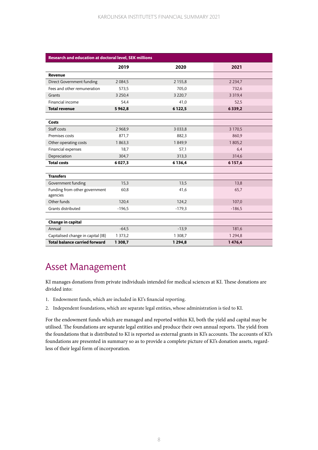| Research and education at doctoral level, SEK millions |             |             |            |
|--------------------------------------------------------|-------------|-------------|------------|
|                                                        | 2019        | 2020        | 2021       |
| Revenue                                                |             |             |            |
| Direct Government funding                              | 2 0 8 4 5   | 2 1 5 5, 8  | 2 2 3 4 7  |
| Fees and other remuneration                            | 573,5       | 705,0       | 732,6      |
| Grants                                                 | 3 2 5 0, 4  | 3 2 2 0,7   | 3 3 1 9 4  |
| Financial income                                       | 54,4        | 41,0        | 52,5       |
| <b>Total revenue</b>                                   | 5962,8      | 6122,5      | 6339,2     |
|                                                        |             |             |            |
| Costs                                                  |             |             |            |
| Staff costs                                            | 2 9 68,9    | 3 0 3 3 , 8 | 3 1 7 0, 5 |
| Premises costs                                         | 871,7       | 882,3       | 860,9      |
| Other operating costs                                  | 1863,3      | 1849.9      | 1 805,2    |
| Financial expenses                                     | 18,7        | 57,1        | 6,4        |
| Depreciation                                           | 304,7       | 313,3       | 314,6      |
| <b>Total costs</b>                                     | 6 0 27,3    | 6136,4      | 6157,6     |
|                                                        |             |             |            |
| <b>Transfers</b>                                       |             |             |            |
| Government funding                                     | 15,3        | 13,5        | 13,8       |
| Funding from other government<br>agencies              | 60,8        | 41,6        | 65,7       |
| Other funds                                            | 120,4       | 124,2       | 107,0      |
| Grants distributed                                     | $-196.5$    | $-179.3$    | $-186,5$   |
|                                                        |             |             |            |
| Change in capital                                      |             |             |            |
| Annual                                                 | $-64,5$     | $-13,9$     | 181,6      |
| Capitalised change in capital (IB)                     | 1 3 7 3 , 2 | 1 308,7     | 1 2 9 4, 8 |
| <b>Total balance carried forward</b>                   | 1 3 0 8,7   | 1 2 9 4, 8  | 1476,4     |

# Asset Management

KI manages donations from private individuals intended for medical sciences at KI. These donations are divided into:

- 1. Endowment funds, which are included in KI's financial reporting.
- 2. Independent foundations, which are separate legal entities, whose administration is tied to KI.

For the endowment funds which are managed and reported within KI, both the yield and capital may be utilised. The foundations are separate legal entities and produce their own annual reports. The yield from the foundations that is distributed to KI is reported as external grants in KI's accounts. The accounts of KI's foundations are presented in summary so as to provide a complete picture of KI's donation assets, regardless of their legal form of incorporation.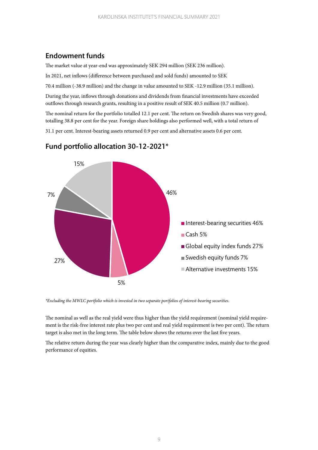### Endowment funds

The market value at year-end was approximately SEK 294 million (SEK 236 million).

In 2021, net inflows (difference between purchased and sold funds) amounted to SEK

70.4 million (-38.9 million) and the change in value amounted to SEK -12.9 million (35.1 million).

During the year, inflows through donations and dividends from financial investments have exceeded outflows through research grants, resulting in a positive result of SEK 40.5 million (0.7 million).

The nominal return for the portfolio totalled 12.1 per cent. The return on Swedish shares was very good, totalling 38.8 per cent for the year. Foreign share holdings also performed well, with a total return of

31.1 per cent. Interest-bearing assets returned 0.9 per cent and alternative assets 0.6 per cent.



#### Fund portfolio allocation 30-12-2021\*

*\*Excluding the MWLC portfolio which is invested in two separate portfolios of interest-bearing securities.*

The nominal as well as the real yield were thus higher than the yield requirement (nominal yield requirement is the risk-free interest rate plus two per cent and real yield requirement is two per cent). The return target is also met in the long term. The table below shows the returns over the last five years.

The relative return during the year was clearly higher than the comparative index, mainly due to the good performance of equities.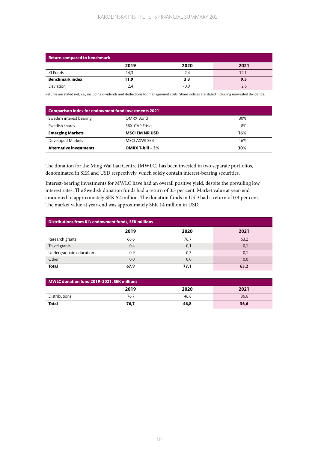#### KAROLINSKA INSTITUTET'S FINANCIAL SUMMARY 2021

| Return compared to benchmark |      |        |      |
|------------------------------|------|--------|------|
|                              | 2019 | 2020   | 2021 |
| KI Funds                     | 14.3 | 2.4    |      |
| <b>Benchmark index</b>       | 11,9 | 3,3    | 9,5  |
| Deviation                    | 2.4  | $-0.9$ |      |

Returns are stated net, i.e., including dividends and deductions for management costs. Share indices are stated including reinvested dividends.

| <b>Comparison index for endowment fund investments 2021</b> |                       |     |  |
|-------------------------------------------------------------|-----------------------|-----|--|
| Swedish interest bearing                                    | OMRX Bond             | 30% |  |
| Swedish shares                                              | <b>SBX-CAP Etiskt</b> | 8%  |  |
| <b>Emerging Markets</b>                                     | <b>MSCI EM NR USD</b> | 16% |  |
| Developed Markets                                           | MSCI AXWI SEB         | 16% |  |
| <b>Alternative investments</b>                              | OMRX T-bill $+3\%$    | 30% |  |

The donation for the Ming Wai Lau Centre (MWLC) has been invested in two separate portfolios, denominated in SEK and USD respectively, which solely contain interest-bearing securities.

Interest-bearing investments for MWLC have had an overall positive yield, despite the prevailing low interest rates. The Swedish donation funds had a return of 0.3 per cent. Market value at year-end amounted to approximately SEK 52 million. The donation funds in USD had a return of 0.4 per cent. The market value at year-end was approximately SEK 14 million in USD.

| Distributions from KI's endowment funds, SEK millions |      |      |        |
|-------------------------------------------------------|------|------|--------|
|                                                       | 2019 | 2020 | 2021   |
| Research grants                                       | 66,6 | 76,7 | 63,2   |
| Travel grants                                         | 0,4  | 0,1  | $-0,1$ |
| Undergraduate education                               | 0,9  | 0,3  | 0,1    |
| Other                                                 | 0,0  | 0,0  | 0,0    |
| <b>Total</b>                                          | 67,9 | 77.1 | 63.2   |

| MWLC donation fund 2019-2021, SEK millions |      |      |      |
|--------------------------------------------|------|------|------|
|                                            | 2019 | 2020 | 2021 |
| <b>Distributions</b>                       | 76.7 | 46.8 | 36,6 |
| <b>Total</b>                               | 76.7 | 46.8 | 36,6 |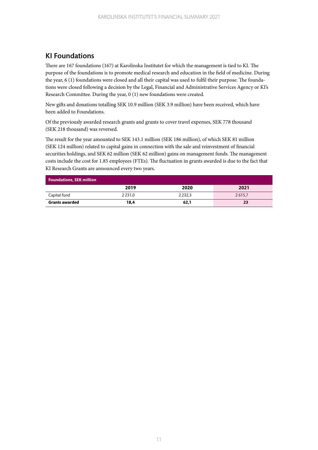### KI Foundations

There are 167 foundations (167) at Karolinska Institutet for which the management is tied to KI. The purpose of the foundations is to promote medical research and education in the field of medicine. During the year, 6 (1) foundations were closed and all their capital was used to fulfil their purpose. The foundations were closed following a decision by the Legal, Financial and Administrative Services Agency or KI's Research Committee. During the year, 0 (1) new foundations were created.

New gifts and donations totalling SEK 10.9 million (SEK 3.9 million) have been received, which have been added to Foundations.

Of the previously awarded research grants and grants to cover travel expenses, SEK 778 thousand (SEK 218 thousand) was reversed.

The result for the year amounted to SEK 143.1 million (SEK 186 million), of which SEK 81 million (SEK 124 million) related to capital gains in connection with the sale and reinvestment of financial securities holdings, and SEK 62 million (SEK 62 million) gains on management funds. The management costs include the cost for 1.85 employees (FTEs). The fluctuation in grants awarded is due to the fact that KI Research Grants are announced every two years.

| <b>Foundations, SEK million</b> |            |             |        |
|---------------------------------|------------|-------------|--------|
|                                 | 2019       | 2020        | 2021   |
| Capital fund                    | 2 2 3 1 .0 | 2 2 3 2 . 3 | 2615.7 |
| <b>Grants awarded</b>           | 18,4       | 62,1        | 23     |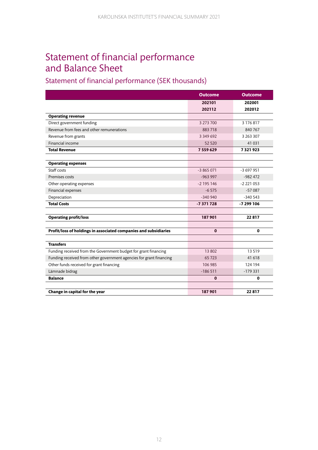# Statement of financial performance and Balance Sheet

### Statement of financial performance (SEK thousands)

|                                                                     | <b>Outcome</b> | <b>Outcome</b> |
|---------------------------------------------------------------------|----------------|----------------|
|                                                                     | 202101         | 202001         |
|                                                                     | 202112         | 202012         |
| <b>Operating revenue</b>                                            |                |                |
| Direct government funding                                           | 3 273 700      | 3 176 817      |
| Revenue from fees and other remunerations                           | 883718         | 840 767        |
| Revenue from grants                                                 | 3 349 692      | 3 263 307      |
| Financial income                                                    | 52 5 20        | 41 031         |
| <b>Total Revenue</b>                                                | 7559629        | 7321923        |
|                                                                     |                |                |
| <b>Operating expenses</b>                                           |                |                |
| Staff costs                                                         | $-3865071$     | $-3697951$     |
| Premises costs                                                      | $-963997$      | $-982472$      |
| Other operating expenses                                            | $-2195146$     | $-2221053$     |
| Financial expenses                                                  | $-6575$        | $-57087$       |
| Depreciation                                                        | $-340940$      | $-340543$      |
| <b>Total Costs</b>                                                  | $-7371728$     | -7 299 106     |
|                                                                     |                |                |
| <b>Operating profit/loss</b>                                        | 187901         | 22817          |
|                                                                     |                |                |
| Profit/loss of holdings in associated companies and subsidiaries    | $\mathbf{0}$   | 0              |
|                                                                     |                |                |
| <b>Transfers</b>                                                    |                |                |
| Funding received from the Government budget for grant financing     | 13 802         | 13519          |
| Funding received from other government agencies for grant financing | 65723          | 41 618         |
| Other funds received for grant financing                            | 106 985        | 124 194        |
| Lämnade bidrag                                                      | $-186511$      | $-179331$      |
| <b>Balance</b>                                                      | $\bf{0}$       | 0              |
|                                                                     |                |                |
| Change in capital for the year                                      | 187901         | 22817          |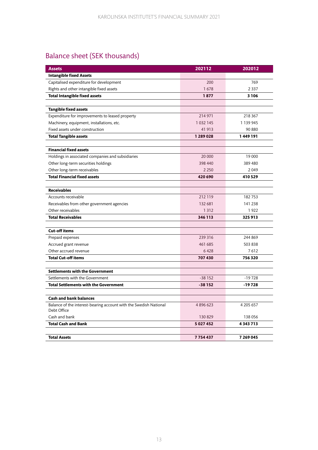## Balance sheet (SEK thousands)

| <b>Assets</b>                                                                    | 202112        | 202012        |
|----------------------------------------------------------------------------------|---------------|---------------|
| <b>Intangible fixed Assets</b>                                                   |               |               |
| Capitalised expenditure for development                                          | 200           | 769           |
| Rights and other intangible fixed assets                                         | 1678          | 2 3 3 7       |
| <b>Total Intangible fixed assets</b>                                             | 1877          | 3 1 0 6       |
|                                                                                  |               |               |
| <b>Tangible fixed assets</b>                                                     |               |               |
| Expenditure for improvements to leased property                                  | 214 971       | 218 367       |
| Machinery, equipment, installations, etc.                                        | 1 0 3 2 1 4 5 | 1 139 945     |
| Fixed assets under construction                                                  | 41 913        | 90 880        |
| <b>Total Tangible assets</b>                                                     | 1 289 0 28    | 1449191       |
|                                                                                  |               |               |
| <b>Financial fixed assets</b>                                                    |               |               |
| Holdings in associated companies and subsidiaries                                | 20 000        | 19 000        |
| Other long-term securities holdings                                              | 398 440       | 389 480       |
| Other long-term receivables                                                      | 2 2 5 0       | 2049          |
| <b>Total Financial fixed assets</b>                                              | 420 690       | 410 529       |
|                                                                                  |               |               |
| <b>Receivables</b>                                                               |               |               |
| Accounts receivable                                                              | 212 119       | 182753        |
| Receivables from other government agencies                                       | 132 681       | 141 238       |
| Other receivables                                                                | 1 3 1 2       | 1922          |
| <b>Total Receivables</b>                                                         | 346 113       | 325 913       |
|                                                                                  |               |               |
| <b>Cut-off items</b>                                                             |               |               |
| Prepaid expenses                                                                 | 239 316       | 244 869       |
| Accrued grant revenue                                                            | 461 685       | 503 838       |
| Other accrued revenue                                                            | 6428          | 7612          |
| <b>Total Cut-off items</b>                                                       | 707 430       | 756320        |
|                                                                                  |               |               |
| <b>Settlements with the Government</b>                                           |               |               |
| Settlements with the Government                                                  | $-38152$      | $-19728$      |
| <b>Total Settlements with the Government</b>                                     | $-38152$      | $-19728$      |
|                                                                                  |               |               |
| <b>Cash and bank balances</b>                                                    |               |               |
| Balance of the interest-bearing account with the Swedish National<br>Debt Office | 4896623       | 4 205 657     |
| Cash and bank                                                                    | 130 829       | 138 056       |
| <b>Total Cash and Bank</b>                                                       | 5 027 452     | 4 3 4 3 7 1 3 |
|                                                                                  |               |               |
| <b>Total Assets</b>                                                              | 7754437       | 7 269 045     |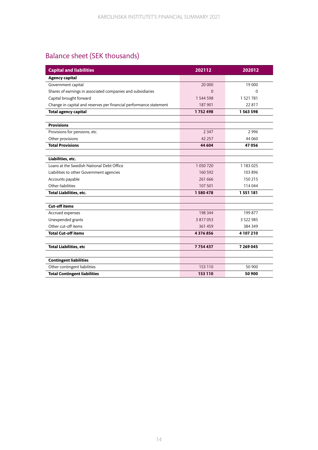## Balance sheet (SEK thousands)

| <b>Capital and liabilities</b>                                     | 202112    | 202012        |
|--------------------------------------------------------------------|-----------|---------------|
| <b>Agency capital</b>                                              |           |               |
| Government capital                                                 | 20 000    | 19 000        |
| Shares of earnings in associated companies and subsidiaries        | $\Omega$  | $\Omega$      |
| Capital brought forward                                            | 1 544 598 | 1 521 781     |
| Change in capital and reserves per financial performance statement | 187 901   | 22 817        |
| <b>Total agency capital</b>                                        | 1752498   | 1 5 6 3 5 9 8 |
|                                                                    |           |               |
| <b>Provisions</b>                                                  |           |               |
| Provisions for pensions, etc.                                      | 2 3 4 7   | 2996          |
| Other provisions                                                   | 42 257    | 44 060        |
| <b>Total Provisions</b>                                            | 44 604    | 47056         |
|                                                                    |           |               |
| Liabilities, etc.                                                  |           |               |
| Loans at the Swedish National Debt Office                          | 1 050 720 | 1 183 025     |
| Liabilities to other Government agencies                           | 160 592   | 103 896       |
| Accounts payable                                                   | 261 666   | 150 215       |
| Other liabilities                                                  | 107 501   | 114 044       |
| <b>Total Liabilities, etc.</b>                                     | 1580478   | 1551181       |
|                                                                    |           |               |
| <b>Cut-off items</b>                                               |           |               |
| Accrued expenses                                                   | 198 344   | 199 877       |
| Unexpended grants                                                  | 3 817 053 | 3 5 2 2 9 8 5 |
| Other cut-off items                                                | 361 459   | 384 349       |
| <b>Total Cut-off items</b>                                         | 4376856   | 4 107 210     |
|                                                                    |           |               |
| <b>Total Liabilities, etc</b>                                      | 7754437   | 7 269 045     |
|                                                                    |           |               |
| <b>Contingent liabilities</b>                                      |           |               |
| Other contingent liabilities                                       | 153 110   | 50 900        |
| <b>Total Contingent liabilities</b>                                | 153 110   | 50 900        |